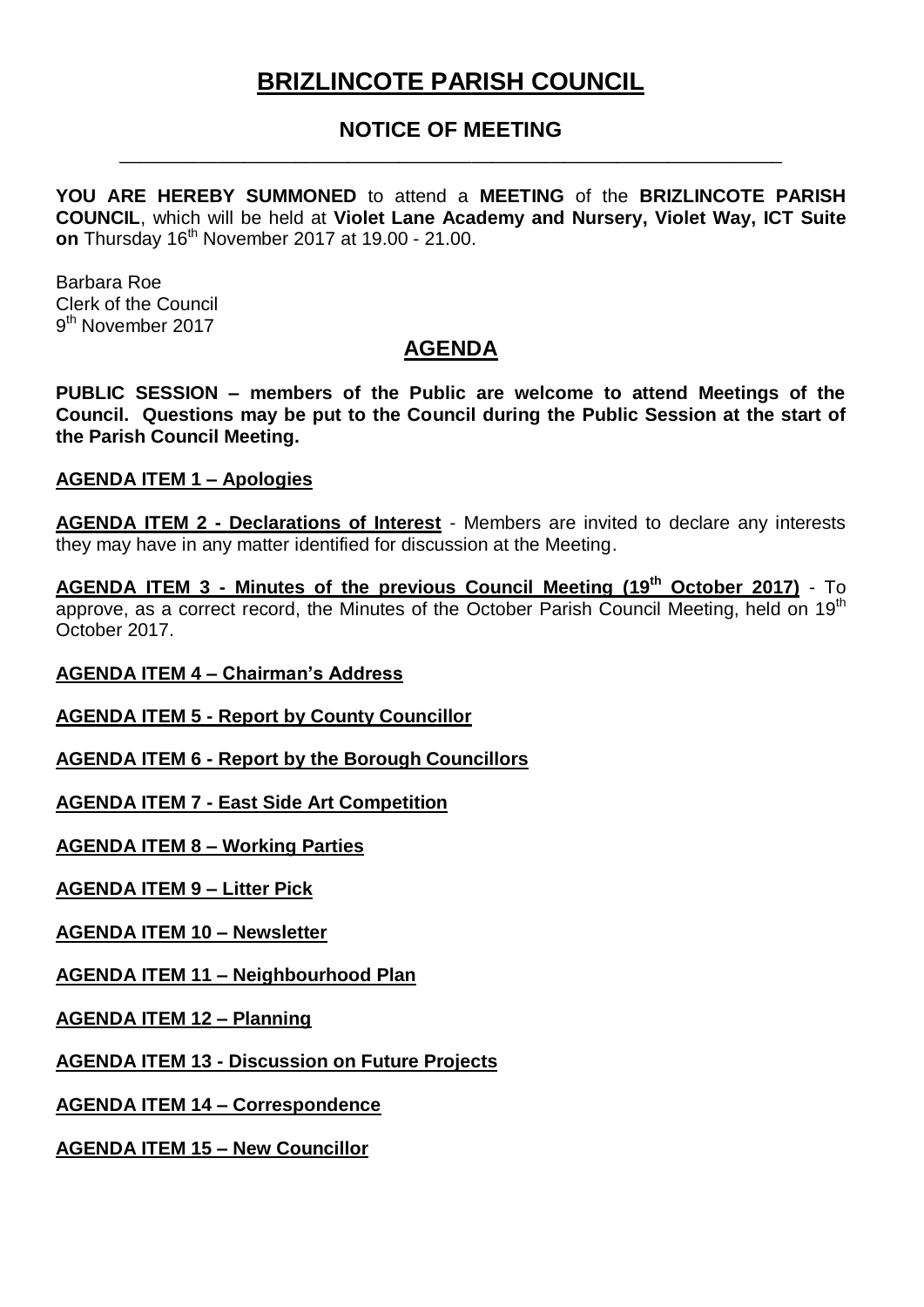# **BRIZLINCOTE PARISH COUNCIL**

## **NOTICE OF MEETING** \_\_\_\_\_\_\_\_\_\_\_\_\_\_\_\_\_\_\_\_\_\_\_\_\_\_\_\_\_\_\_\_\_\_\_\_\_\_\_\_\_\_\_\_\_\_\_\_\_\_\_\_\_\_\_\_\_\_\_\_\_\_\_\_

**YOU ARE HEREBY SUMMONED** to attend a **MEETING** of the **BRIZLINCOTE PARISH COUNCIL**, which will be held at **Violet Lane Academy and Nursery, Violet Way, ICT Suite on** Thursday 16<sup>th</sup> November 2017 at 19.00 - 21.00.

Barbara Roe Clerk of the Council 9<sup>th</sup> November 2017

# **AGENDA**

**PUBLIC SESSION – members of the Public are welcome to attend Meetings of the Council. Questions may be put to the Council during the Public Session at the start of the Parish Council Meeting.**

### **AGENDA ITEM 1 – Apologies**

**AGENDA ITEM 2 - Declarations of Interest** - Members are invited to declare any interests they may have in any matter identified for discussion at the Meeting.

**AGENDA ITEM 3 - Minutes of the previous Council Meeting (19th October 2017)** - To approve, as a correct record, the Minutes of the October Parish Council Meeting, held on 19<sup>th</sup> October 2017.

### **AGENDA ITEM 4 – Chairman's Address**

**AGENDA ITEM 5 - Report by County Councillor**

**AGENDA ITEM 6 - Report by the Borough Councillors**

**AGENDA ITEM 7 - East Side Art Competition**

**AGENDA ITEM 8 – Working Parties**

**AGENDA ITEM 9 – Litter Pick**

**AGENDA ITEM 10 – Newsletter**

**AGENDA ITEM 11 – Neighbourhood Plan**

**AGENDA ITEM 12 – Planning**

**AGENDA ITEM 13 - Discussion on Future Projects**

**AGENDA ITEM 14 – Correspondence**

**AGENDA ITEM 15 – New Councillor**